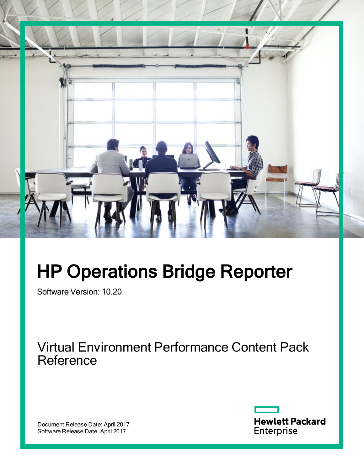

# HP Operations Bridge Reporter

Software Version: 10.20

Virtual Environment Performance Content Pack **Reference** 

Document Release Date: April 2017 Software Release Date: April 2017

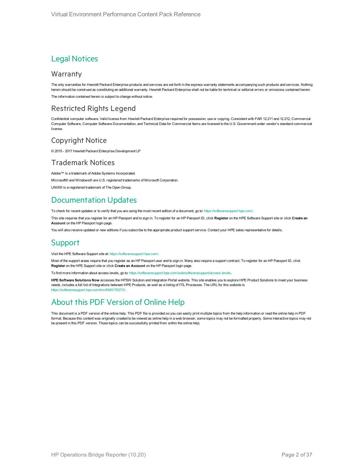### Legal Notices

#### **Warranty**

The only warranties for Hewlett Packard Enterprise products and services are set forth in the express warranty statements accompanying such products and services. Nothing herein should be construed as constituting an additional warranty. Hewlett Packard Enterprise shall not be liable for technical or editorial errors or omissions contained herein. The information contained herein is subject to change without notice.

### Restricted Rights Legend

Confidential computer software. Valid license from Hewlett Packard Enterprise required for possession, use or copying. Consistent with FAR 12.211 and 12.212, Commercial Computer Software, Computer Software Documentation, and Technical Data for Commercial Items are licensed to the U.S. Government under vendor's standard commercial license.

### Copyright Notice

© 2015 - 2017 Hewlett Packard Enterprise Development LP

### Trademark Notices

Adobe™ is a trademark of Adobe Systems Incorporated.

Microsoft® and Windows® are U.S. registered trademarks of Microsoft Corporation.

UNIX® is a registered trademark of The Open Group.

### Documentation Updates

To check for recent updates or to verify that you are using the most recent edition of a document, go to: <https://softwaresupport.hpe.com/>.

This site requires that you register for an HP Passport and to sign in. To register for an HP Passport ID, click **Register** on the HPE Software Support site or click **Create an Account** on the HP Passport login page.

You will also receive updated or new editions if you subscribe to the appropriate product support service. Contact your HPE sales representative for details.

### **Support**

Visit the HPE Software Support site at: <https://softwaresupport.hpe.com/>.

Most of the support areas require that you register as an HP Passport user and to sign in. Many also require a support contract. To register for an HP Passport ID, click **Register** on the HPE Support site or click **Create an Account** on the HP Passport login page.

To find more information about access levels, go to: <https://softwaresupport.hpe.com/web/softwaresupport/access-levels>.

**HPE Software Solutions Now** accesses the HPSW Solution and Integration Portal website. This site enables you to explore HPE Product Solutions to meet your business needs, includes a full list of Integrations between HPE Products, as well as a listing of ITIL Processes. The URL for this website is [https://softwaresupport.hpe.com/km/KM01702731.](https://softwaresupport.hpe.com/km/KM01702731)

### About this PDF Version of Online Help

This document is a PDF version of the online help. This PDF file is provided so you can easily print multiple topics from the help information or read the online help in PDF format. Because this content was originally created to be viewed as online help in a web browser, some topics may not be formatted properly. Some interactive topics may not be present in this PDF version. Those topics can be successfully printed from within the online help.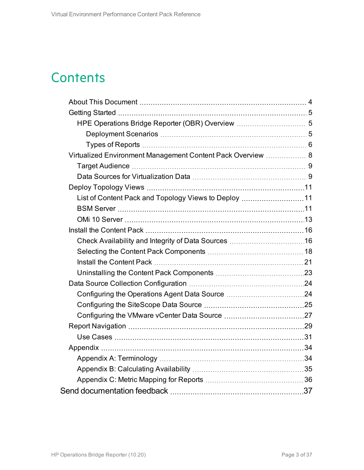## **Contents**

| Virtualized Environment Management Content Pack Overview  8 |  |
|-------------------------------------------------------------|--|
|                                                             |  |
|                                                             |  |
|                                                             |  |
| List of Content Pack and Topology Views to Deploy 11        |  |
|                                                             |  |
|                                                             |  |
|                                                             |  |
|                                                             |  |
|                                                             |  |
|                                                             |  |
|                                                             |  |
|                                                             |  |
|                                                             |  |
|                                                             |  |
|                                                             |  |
|                                                             |  |
|                                                             |  |
|                                                             |  |
|                                                             |  |
|                                                             |  |
|                                                             |  |
|                                                             |  |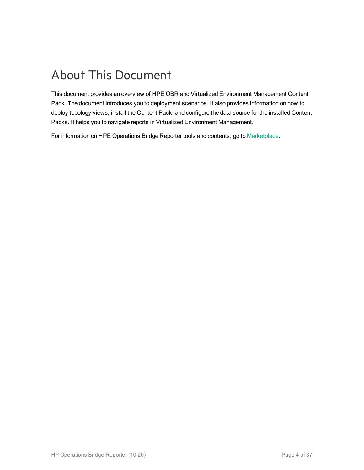## <span id="page-3-0"></span>About This Document

This document provides an overview of HPE OBR and Virtualized Environment Management Content Pack. The document introduces you to deployment scenarios. It also provides information on how to deploy topology views, install the Content Pack, and configure the data source for the installed Content Packs. It helps you to navigate reports in Virtualized Environment Management.

For information on HPE Operations Bridge Reporter tools and contents, go to [Marketplace.](https://marketplace.saas.hpe.com/itom/category/all?product=Operations%20Bridge%20Reporter&version=All%20versions&company=All%20companies)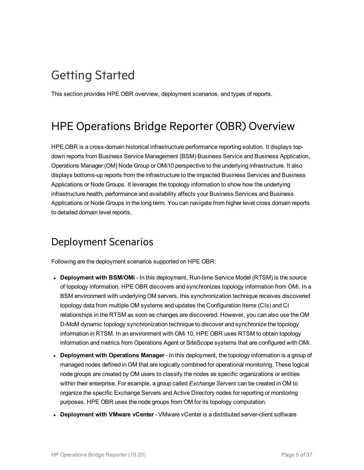## <span id="page-4-0"></span>Getting Started

<span id="page-4-1"></span>This section provides HPE OBR overview, deployment scenarios, and types of reports.

### HPE Operations Bridge Reporter (OBR) Overview

HPE OBR is a cross-domain historical infrastructure performance reporting solution. It displays topdown reports from Business Service Management (BSM) Business Service and Business Application, Operations Manager (OM) Node Group or OMi10 perspective to the underlying infrastructure. It also displays bottoms-up reports from the infrastructure to the impacted Business Services and Business Applications or Node Groups. It leverages the topology information to show how the underlying infrastructure health, performance and availability affects your Business Services and Business Applications or Node Groups in the long term. You can navigate from higher level cross domain reports to detailed domain level reports.

### <span id="page-4-2"></span>Deployment Scenarios

Following are the deployment scenarios supported on HPE OBR:

- **Deployment with BSM/OMi** In this deployment, Run-time Service Model (RTSM) is the source of topology information. HPE OBR discovers and synchronizes topology information from OMi. In a BSM environment with underlying OM servers, this synchronization technique receives discovered topology data from multiple OM systems and updates the Configuration Items (CIs) and CI relationships in the RTSM as soon as changes are discovered. However, you can also use the OM D-MoM dynamic topology synchronization technique to discover and synchronize the topology information in RTSM. In an environment with OMi 10, HPE OBR uses RTSM to obtain topology information and metrics from Operations Agent or SiteScope systems that are configured with OMi.
- <sup>l</sup> **Deployment with Operations Manager** In this deployment, the topology information is a group of managed nodes defined in OM that are logically combined for operational monitoring. These logical node groups are created by OM users to classify the nodes as specific organizations or entities within their enterprise. For example, a group called *Exchange Servers* can be created in OM to organize the specific Exchange Servers and Active Directory nodes for reporting or monitoring purposes. HPE OBR uses the node groups from OM for its topology computation.
- <sup>l</sup> **Deployment with VMware vCenter** VMware vCenter is a distributed server-client software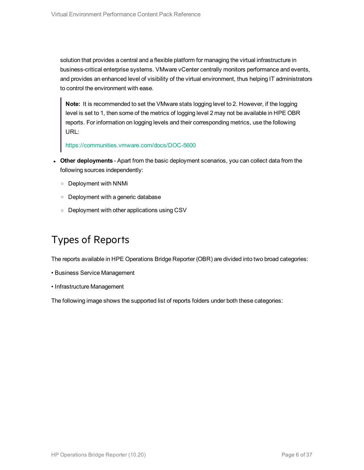solution that provides a central and a flexible platform for managing the virtual infrastructure in business-critical enterprise systems. VMware vCenter centrally monitors performance and events, and provides an enhanced level of visibility of the virtual environment, thus helping IT administrators to control the environment with ease.

**Note:** It is recommended to set the VMware stats logging level to 2. However, if the logging level is set to 1, then some of the metrics of logging level 2 may not be available in HPE OBR reports. For information on logging levels and their corresponding metrics, use the following URL:

<https://communities.vmware.com/docs/DOC-5600>

- <sup>l</sup> **Other deployments** Apart from the basic deployment scenarios, you can collect data from the following sources independently:
	- <sup>o</sup> Deployment with NNMi
	- <sup>o</sup> Deployment with a generic database
	- <sup>o</sup> Deployment with other applications using CSV

### <span id="page-5-0"></span>Types of Reports

The reports available in HPE Operations Bridge Reporter (OBR) are divided into two broad categories:

- Business Service Management
- Infrastructure Management

The following image shows the supported list of reports folders under both these categories: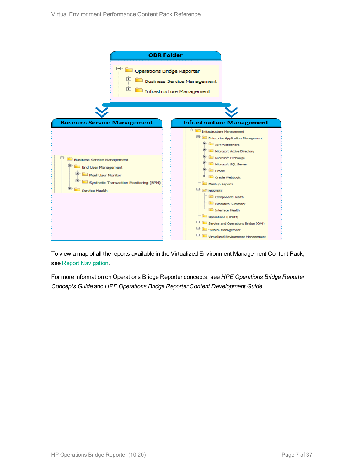

To view a map of all the reports available in the Virtualized Environment Management Content Pack, see Report [Navigation](#page-28-0).

For more information on Operations Bridge Reporter concepts, see *HPE Operations Bridge Reporter Concepts Guide* and *HPE Operations Bridge Reporter Content Development Guide*.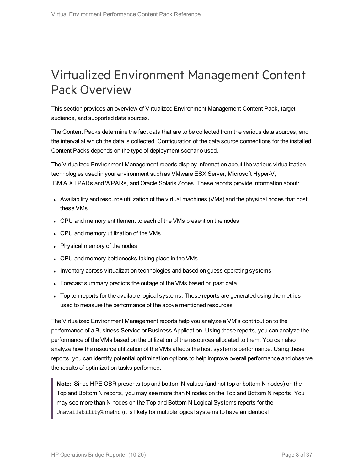## <span id="page-7-0"></span>Virtualized Environment Management Content Pack Overview

This section provides an overview of Virtualized Environment Management Content Pack, target audience, and supported data sources.

The Content Packs determine the fact data that are to be collected from the various data sources, and the interval at which the data is collected. Configuration of the data source connections for the installed Content Packs depends on the type of deployment scenario used.

The Virtualized Environment Management reports display information about the various virtualization technologies used in your environment such as VMware ESX Server, Microsoft Hyper-V, IBM AIX LPARs and WPARs, and Oracle Solaris Zones. These reports provide information about:

- Availability and resource utilization of the virtual machines (VMs) and the physical nodes that host these VMs
- CPU and memory entitlement to each of the VMs present on the nodes
- CPU and memory utilization of the VMs
- Physical memory of the nodes
- CPU and memory bottlenecks taking place in the VMs
- Inventory across virtualization technologies and based on guess operating systems
- Forecast summary predicts the outage of the VMs based on past data
- Top ten reports for the available logical systems. These reports are generated using the metrics used to measure the performance of the above mentioned resources

The Virtualized Environment Management reports help you analyze a VM's contribution to the performance of a Business Service or Business Application. Using these reports, you can analyze the performance of the VMs based on the utilization of the resources allocated to them. You can also analyze how the resource utilization of the VMs affects the host system's performance. Using these reports, you can identify potential optimization options to help improve overall performance and observe the results of optimization tasks performed.

**Note:** Since HPE OBR presents top and bottom N values (and not top or bottom N nodes) on the Top and Bottom N reports, you may see more than N nodes on the Top and Bottom N reports. You may see more than N nodes on the Top and Bottom N Logical Systems reports for the Unavailability% metric (it is likely for multiple logical systems to have an identical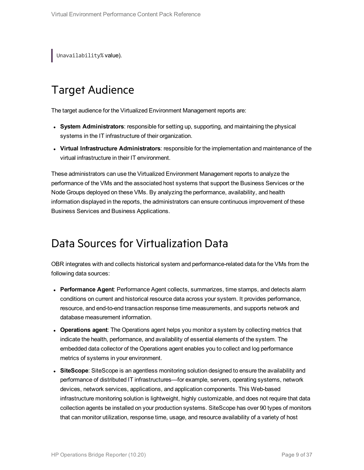<span id="page-8-0"></span>Unavailability% value).

### Target Audience

The target audience for the Virtualized Environment Management reports are:

- <sup>l</sup> **System Administrators**: responsible for setting up, supporting, and maintaining the physical systems in the IT infrastructure of their organization.
- <sup>l</sup> **Virtual Infrastructure Administrators**: responsible for the implementation and maintenance of the virtual infrastructure in their IT environment.

These administrators can use the Virtualized Environment Management reports to analyze the performance of the VMs and the associated host systems that support the Business Services or the Node Groups deployed on these VMs. By analyzing the performance, availability, and health information displayed in the reports, the administrators can ensure continuous improvement of these Business Services and Business Applications.

### <span id="page-8-1"></span>Data Sources for Virtualization Data

OBR integrates with and collects historical system and performance-related data for the VMs from the following data sources:

- **Performance Agent**: Performance Agent collects, summarizes, time stamps, and detects alarm conditions on current and historical resource data across your system. It provides performance, resource, and end-to-end transaction response time measurements, and supports network and database measurement information.
- **Operations agent**: The Operations agent helps you monitor a system by collecting metrics that indicate the health, performance, and availability of essential elements of the system. The embedded data collector of the Operations agent enables you to collect and log performance metrics of systems in your environment.
- **SiteScope**: SiteScope is an agentless monitoring solution designed to ensure the availability and performance of distributed IT infrastructures—for example, servers, operating systems, network devices, network services, applications, and application components. This Web-based infrastructure monitoring solution is lightweight, highly customizable, and does not require that data collection agents be installed on your production systems. SiteScope has over 90 types of monitors that can monitor utilization, response time, usage, and resource availability of a variety of host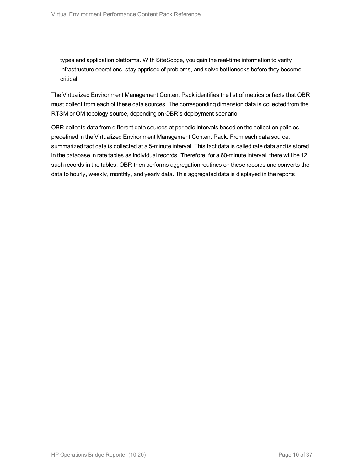types and application platforms. With SiteScope, you gain the real-time information to verify infrastructure operations, stay apprised of problems, and solve bottlenecks before they become critical.

The Virtualized Environment Management Content Pack identifies the list of metrics or facts that OBR must collect from each of these data sources. The corresponding dimension data is collected from the RTSM or OM topology source, depending on OBR's deployment scenario.

OBR collects data from different data sources at periodic intervals based on the collection policies predefined in the Virtualized Environment Management Content Pack. From each data source, summarized fact data is collected at a 5-minute interval. This fact data is called rate data and is stored in the database in rate tables as individual records. Therefore, for a 60-minute interval, there will be 12 such records in the tables. OBR then performs aggregation routines on these records and converts the data to hourly, weekly, monthly, and yearly data. This aggregated data is displayed in the reports.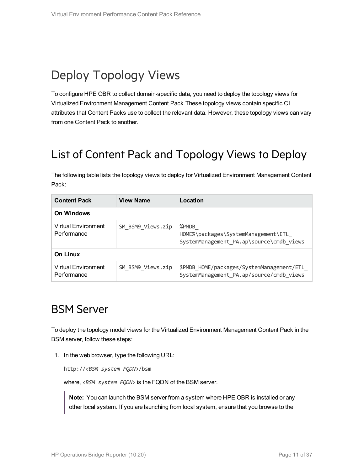## <span id="page-10-0"></span>Deploy Topology Views

To configure HPE OBR to collect domain-specific data, you need to deploy the topology views for Virtualized Environment Management Content Pack.These topology views contain specific CI attributes that Content Packs use to collect the relevant data. However, these topology views can vary from one Content Pack to another.

### <span id="page-10-1"></span>List of Content Pack and Topology Views to Deploy

The following table lists the topology views to deploy for Virtualized Environment Management Content Pack:

| <b>Content Pack</b>                                     | <b>View Name</b>  | Location                                                                                 |  |  |  |
|---------------------------------------------------------|-------------------|------------------------------------------------------------------------------------------|--|--|--|
| <b>On Windows</b>                                       |                   |                                                                                          |  |  |  |
| Virtual Environment<br>SM BSM9 Views.zip<br>Performance |                   | %PMDB<br>HOME%\packages\SystemManagement\ETL<br>SystemManagement PA.ap\source\cmdb views |  |  |  |
| On Linux                                                |                   |                                                                                          |  |  |  |
| Virtual Environment<br>Performance                      | SM BSM9 Views.zip | \$PMDB_HOME/packages/SystemManagement/ETL<br>SystemManagement_PA.ap/source/cmdb_views    |  |  |  |

### <span id="page-10-2"></span>BSM Server

To deploy the topology model views for the Virtualized Environment Management Content Pack in the BSM server, follow these steps:

1. In the web browser, type the following URL:

http://*<BSM system FQDN>*/bsm

where, <BSM system FQDN> is the FQDN of the BSM server.

**Note:** You can launch the BSM server from a system where HPE OBR is installed or any other local system. If you are launching from local system, ensure that you browse to the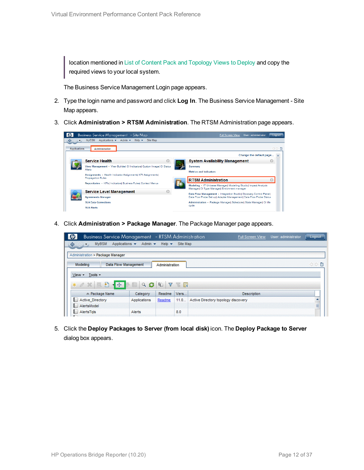location mentioned in List of Content Pack and [Topology](#page-10-1) Views to Deploy and copy the required views to your local system.

The Business Service Management Login page appears.

- 2. Type the login name and password and click **Log In**. The Business Service Management Site Map appears.
- 3. Click **Administration > RTSM Administration**. The RTSM Administration page appears.



4. Click **Administration > Package Manager**. The Package Manager page appears.



5. Click the **Deploy Packages to Server (from local disk)** icon. The **Deploy Package to Server** dialog box appears.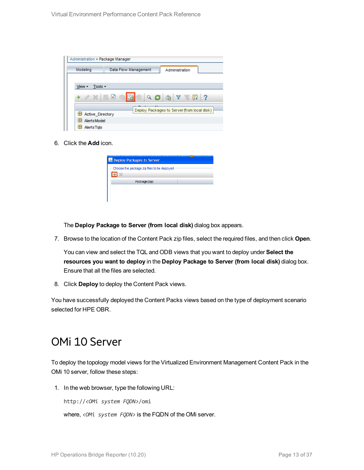| Administration > Package Manager         |                                                                                                                                                  |
|------------------------------------------|--------------------------------------------------------------------------------------------------------------------------------------------------|
| Modeling                                 | Data Flow Management<br>Administration                                                                                                           |
|                                          |                                                                                                                                                  |
| Tools $\overline{\phantom{a}}$<br>View - |                                                                                                                                                  |
| $\alpha \times \alpha$<br>÷              | 圃<br>$Q \n  Q \n  Q \n  Q \n  Q \n  Q \n  Q \n  Q \n  Q \n  Q \n  Q \n  Q \n  Q \n  Q \n  Q \n  Q \n  Q \n  Q \n  Q \n  Q \n  Q \n  Q \n  Q-?W.$ |
|                                          | Deploy Packages to Server (from local disk)                                                                                                      |
| Active Directory                         |                                                                                                                                                  |
| H<br><b>AlertsModel</b>                  |                                                                                                                                                  |
| AlertsTals                               |                                                                                                                                                  |

6. Click the **Add** icon.

| <b>&amp; Deploy Packages to Server</b>      |  |
|---------------------------------------------|--|
| Choose the package zip files to be deployed |  |
| Package (zip)                               |  |
|                                             |  |

The **Deploy Package to Server (from local disk)** dialog box appears.

7. Browse to the location of the Content Pack zip files, select the required files, and then click **Open**.

You can view and select the TQL and ODB views that you want to deploy under **Select the resources you want to deploy** in the **Deploy Package to Server (from local disk)** dialog box. Ensure that all the files are selected.

8. Click **Deploy** to deploy the Content Pack views.

<span id="page-12-0"></span>You have successfully deployed the Content Packs views based on the type of deployment scenario selected for HPE OBR.

### OMi 10 Server

To deploy the topology model views for the Virtualized Environment Management Content Pack in the OMi 10 server, follow these steps:

1. In the web browser, type the following URL:

http://*<OMi system FQDN>*/omi

where, *<OMi system FQDN>* is the FQDN of the OMi server.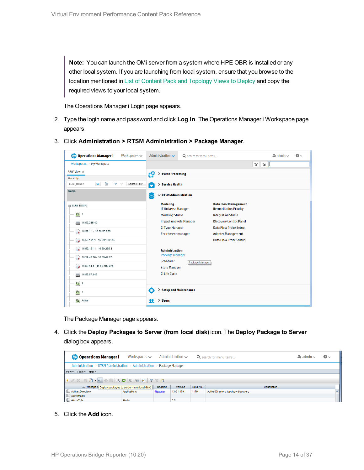**Note:** You can launch the OMi server from a system where HPE OBR is installed or any other local system. If you are launching from local system, ensure that you browse to the location mentioned in List of Content Pack and [Topology](#page-10-1) Views to Deploy and copy the required views to your local system.

The Operations Manager i Login page appears.

- 2. Type the login name and password and click **Log In**. The Operations Manager i Workspace page appears.
- 3. Click **Administration > RTSM Administration > Package Manager**.

| <b>Operations Manager i</b><br>Workspaces $\smile$                        | Administration $\sim$                         | Q search for menu items |                                                               | $\Delta$ admin $\sim$ | $\Omega$ |
|---------------------------------------------------------------------------|-----------------------------------------------|-------------------------|---------------------------------------------------------------|-----------------------|----------|
| Workspaces > My Workspace                                                 |                                               |                         |                                                               | V.<br>$E =$           |          |
| 360° View x                                                               | > Event Processing<br>łФ                      |                         |                                                               |                       |          |
| Hierarchy                                                                 |                                               |                         |                                                               |                       |          |
| Þ<br>EUM_BSMR<br>$\checkmark$<br>Y<br>[Select a Filter]<br>$\overline{Y}$ | ô<br>> Service Health                         |                         |                                                               |                       |          |
| Name                                                                      | $\sim$ RTSM Administration                    |                         |                                                               |                       |          |
| E EUM_BSMR                                                                | <b>Modeling</b><br><b>IT Universe Manager</b> |                         | <b>Data Flow Management</b><br><b>Reconciliation Priority</b> |                       |          |
| $\boxed{0}$ 1                                                             | <b>Modeling Studio</b>                        |                         | <b>Integration Studio</b>                                     |                       |          |
| U<br>16.55.245.42                                                         | <b>Impact Analysis Manager</b>                |                         | <b>Discovery Control Panel</b>                                |                       |          |
| $\bullet$ 16.59.1.1 - 16.59.50.255                                        | <b>CI Type Manager</b><br>Enrichment manager  |                         | <b>Data Flow Probe Setup</b><br><b>Adapter Management</b>     |                       |          |
| $\bigotimes$ 16.59.101.1 - 16.59.150.255                                  |                                               |                         | <b>Data Flow Probe Status</b>                                 |                       |          |
|                                                                           | <b>Administration</b>                         |                         |                                                               |                       |          |
| $\bigcirc$ 16.59.42.70 - 16.59.42.70                                      | <b>Package Manager</b><br>Scheduler           |                         |                                                               |                       |          |
| $\bigotimes$ 16.59.51.1 - 16.59.100.255                                   | <b>State Manager</b>                          | Package Manager         |                                                               |                       |          |
| 16.59.67.149<br>▄                                                         | <b>CI Life Cycle</b>                          |                         |                                                               |                       |          |
| $\left[ \bigcirc \right]$ 2                                               |                                               |                         |                                                               |                       |          |
| $\Theta$ 4                                                                | Ö<br>> Setup and Maintenance                  |                         |                                                               |                       |          |
| Active                                                                    | $\angle$ Users<br>я                           |                         |                                                               |                       |          |

The Package Manager page appears.

4. Click the **Deploy Packages to Server (from local disk)** icon. The **Deploy Package to Server** dialog box appears.

| <b>Operations Manager i</b>                                             | Workspaces $\sim$ |        | Administration $\sim$ |          | Q search for menu items             | $\rightarrow$ admin $\sim$ | $\bullet$ |  |
|-------------------------------------------------------------------------|-------------------|--------|-----------------------|----------|-------------------------------------|----------------------------|-----------|--|
| Administration > RTSM Administration > Administration > Package Manager |                   |        |                       |          |                                     |                            |           |  |
| View - Tools - Help -                                                   |                   |        |                       |          |                                     |                            |           |  |
|                                                                         |                   |        |                       |          |                                     |                            |           |  |
| ≐ Package N Deploy packages to server (from local disk)                 |                   | Readme | Version               | Build Nu | <b>Description</b>                  |                            |           |  |
| Active_Directory                                                        | Applications      | Readme | 13.0-1179             | 1179     | Active Directory topology discovery |                            |           |  |
| AlertsModel                                                             |                   |        |                       |          |                                     |                            |           |  |
| AlertsTals                                                              | Alerts            |        | 8.0                   |          |                                     |                            |           |  |

5. Click the **Add** icon.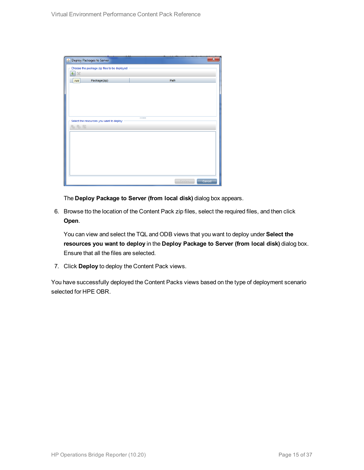| Deploy Packages to Server                   |      | ×                |
|---------------------------------------------|------|------------------|
| Choose the package zip files to be deployed |      |                  |
| 壘<br>$\chi$                                 |      |                  |
| Package(zip)<br>Add                         | Path |                  |
|                                             |      |                  |
|                                             |      |                  |
|                                             |      |                  |
|                                             |      |                  |
|                                             |      |                  |
| Select the resources you want to deploy     |      |                  |
| 名马路                                         |      |                  |
|                                             |      |                  |
|                                             |      |                  |
|                                             |      |                  |
|                                             |      |                  |
|                                             |      |                  |
|                                             |      |                  |
|                                             |      |                  |
|                                             |      | Deploy<br>Cancel |

The **Deploy Package to Server (from local disk)** dialog box appears.

6. Browse tto the location of the Content Pack zip files, select the required files, and then click **Open**.

You can view and select the TQL and ODB views that you want to deploy under **Select the resources you want to deploy** in the **Deploy Package to Server (from local disk)** dialog box. Ensure that all the files are selected.

7. Click **Deploy** to deploy the Content Pack views.

You have successfully deployed the Content Packs views based on the type of deployment scenario selected for HPE OBR.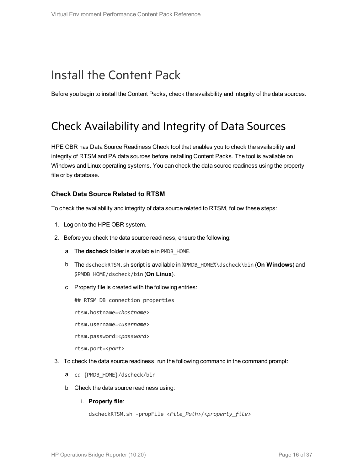### <span id="page-15-0"></span>Install the Content Pack

<span id="page-15-1"></span>Before you begin to install the Content Packs, check the availability and integrity of the data sources.

### Check Availability and Integrity of Data Sources

HPE OBR has Data Source Readiness Check tool that enables you to check the availability and integrity of RTSM and PA data sources before installing Content Packs. The tool is available on Windows and Linux operating systems. You can check the data source readiness using the property file or by database.

#### **Check Data Source Related to RTSM**

To check the availability and integrity of data source related to RTSM, follow these steps:

- 1. Log on to the HPE OBR system.
- 2. Before you check the data source readiness, ensure the following:
	- a. The **dscheck** folder is available in PMDB\_HOME.
	- b. The dscheckRTSM.sh script is available in %PMDB\_HOME%\dscheck\bin (**On Windows**) and \$PMDB\_HOME/dscheck/bin (**On Linux**).
	- c. Property file is created with the following entries:
		- ## RTSM DB connection properties
		- rtsm.hostname=<*hostname*>
		- rtsm.username=<*username*>
		- rtsm.password=<*password*>

rtsm.port=<*port*>

- 3. To check the data source readiness, run the following command in the command prompt:
	- a. cd {PMDB\_HOME}/dscheck/bin
	- b. Check the data source readiness using:
		- i. **Property file**:

```
dscheckRTSM.sh -propFile <File_Path>/<property_file>
```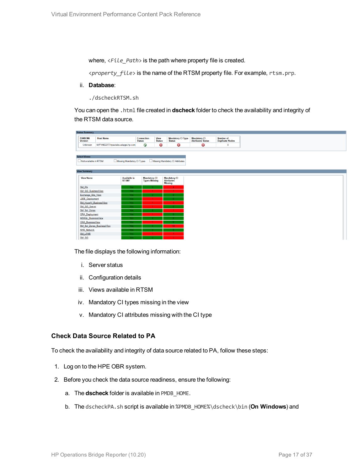where,  $\langle$ File Path> is the path where property file is created.

<*property\_file*> is the name of the RTSM property file. For example, rtsm.prp.

ii. **Database**:

./dscheckRTSM.sh

You can open the .html file created in **dscheck** folder to check the availability and integrity of the RTSM data source.

| <b>Status Summary</b>            |                                   |                                    |                              |                                           |                                           |
|----------------------------------|-----------------------------------|------------------------------------|------------------------------|-------------------------------------------|-------------------------------------------|
| <b>BSM/OMi</b><br><b>Version</b> | <b>Host Name</b>                  | <b>Connection</b><br><b>Status</b> | <b>View</b><br><b>Status</b> | <b>Mandatory CI Type</b><br><b>Status</b> | <b>Mandatory CI<br/>Attributes Status</b> |
| <b>Unknown</b>                   | IWFVM02277.hpswlabs.adapps.hp.com | Ø                                  | $\bullet$                    | ☺                                         | 0                                         |
|                                  |                                   |                                    |                              |                                           |                                           |
|                                  |                                   |                                    |                              |                                           |                                           |
| <b>Select Views:</b>             |                                   |                                    |                              |                                           |                                           |
| Not available in RTSM            | Missing Mandatory CI Types        |                                    |                              | Missing Mandatory CI Attributes           |                                           |
|                                  |                                   |                                    |                              |                                           |                                           |
| <b>View Summary</b>              |                                   |                                    |                              |                                           |                                           |
|                                  |                                   |                                    |                              |                                           |                                           |
| <b>View Name</b>                 | <b>Available in</b>               |                                    | <b>Mandatory CI</b>          | <b>Mandatory CI</b>                       |                                           |
|                                  | RTSM?                             |                                    | <b>Types Missing</b>         | <b>Attributes</b><br><b>Missing</b>       |                                           |
| SM_PA                            |                                   | Yes.                               |                              | $\blacktriangleleft$                      |                                           |
| SM SiS BusinessView              |                                   | Yes.                               |                              |                                           |                                           |
| Exchange Site View               |                                   | Yes:                               |                              |                                           |                                           |
| J2EE Deployment                  |                                   | Yes.                               |                              |                                           |                                           |
| SM_HyperV_BusinessView           |                                   | Yes                                |                              |                                           |                                           |
| SM_SiS_Server                    |                                   | Yes:                               |                              |                                           |                                           |
| SM Sol Zones                     |                                   | Yes.                               |                              |                                           |                                           |
| <b>ORA</b> Deployment            |                                   | Yes:                               |                              |                                           |                                           |
| MSSQL BusinessView               |                                   | Yes                                |                              |                                           |                                           |
| <b>ORA BusinessView</b>          |                                   | Yes.                               |                              |                                           |                                           |
| SM_Sol_Zones_BusinessView        |                                   | Yes:                               |                              | 12 <sub>12</sub>                          |                                           |
| <b>SHR_Network</b>               |                                   | Yes:                               |                              |                                           |                                           |
| <b>SM_LPAR</b>                   |                                   | Yes:                               |                              |                                           |                                           |
| SM SiS                           |                                   | Yes.                               |                              |                                           |                                           |

The file displays the following information:

- i. Server status
- ii. Configuration details
- iii. Views available in RTSM
- iv. Mandatory CI types missing in the view
- v. Mandatory CI attributes missing with the CI type

#### **Check Data Source Related to PA**

To check the availability and integrity of data source related to PA, follow these steps:

- 1. Log on to the HPE OBR system.
- 2. Before you check the data source readiness, ensure the following:
	- a. The **dscheck** folder is available in PMDB\_HOME.
	- b. The dscheckPA.sh script is available in %PMDB\_HOME%\dscheck\bin (**On Windows**) and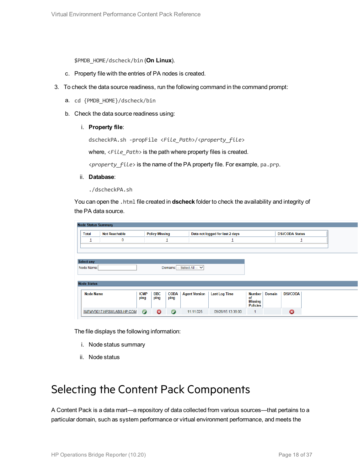\$PMDB\_HOME/dscheck/bin (**On Linux**).

- c. Property file with the entries of PA nodes is created.
- 3. To check the data source readiness, run the following command in the command prompt:
	- a. cd {PMDB\_HOME}/dscheck/bin
	- b. Check the data source readiness using:
		- i. **Property file**:

dscheckPA.sh -propFile <*File\_Path*>/<*property\_file*>

where,  $\langle$ File\_Path> is the path where property files is created.

<*property\_file*> is the name of the PA property file. For example, pa.prp.

- ii. **Database**:
	- ./dscheckPA.sh

You can open the .html file created in **dscheck** folder to check the availability and integrity of the PA data source.

| <b>Node Status Summary</b> |                           |                     |                       |                     |                             |                                 |                            |               |                        |  |
|----------------------------|---------------------------|---------------------|-----------------------|---------------------|-----------------------------|---------------------------------|----------------------------|---------------|------------------------|--|
| <b>Total</b>               | <b>Not Reachable</b>      |                     | <b>Policy Missing</b> |                     |                             | Data not logged for last 2 days |                            |               | <b>DSi/CODA Status</b> |  |
| щ                          | 0                         |                     |                       | ┚                   |                             |                                 |                            |               | ┚                      |  |
|                            |                           |                     |                       |                     |                             |                                 |                            |               |                        |  |
|                            |                           |                     |                       |                     |                             |                                 |                            |               |                        |  |
| Select any                 |                           |                     |                       |                     |                             |                                 |                            |               |                        |  |
| Node Name:                 |                           |                     |                       |                     | Domains: -- Select All -- V |                                 |                            |               |                        |  |
|                            |                           |                     |                       |                     |                             |                                 |                            |               |                        |  |
| <b>Node Status</b>         |                           |                     |                       |                     |                             |                                 |                            |               |                        |  |
|                            |                           |                     |                       |                     |                             |                                 |                            |               |                        |  |
| <b>Node Name</b>           |                           | <b>ICMP</b><br>ping | <b>BBC</b><br>ping    | <b>CODA</b><br>ping | <b>Agent Version</b>        | <b>Last Log Time</b>            | <b>Number</b><br>of        | <b>Domain</b> | <b>DSi/CODA</b>        |  |
|                            |                           |                     |                       |                     |                             |                                 | Missing<br><b>Policies</b> |               |                        |  |
|                            | IWFMVS017.HPSWLABS.HP.COM | $\bullet$           | ణ                     | $\bullet$           | 11.11.025                   | 09/28/15 13:38:00               |                            |               | 0                      |  |

The file displays the following information:

- i. Node status summary
- ii. Node status

### <span id="page-17-0"></span>Selecting the Content Pack Components

A Content Pack is a data mart—a repository of data collected from various sources—that pertains to a particular domain, such as system performance or virtual environment performance, and meets the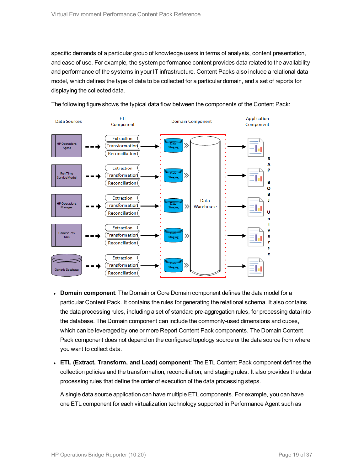specific demands of a particular group of knowledge users in terms of analysis, content presentation, and ease of use. For example, the system performance content provides data related to the availability and performance of the systems in your IT infrastructure. Content Packs also include a relational data model, which defines the type of data to be collected for a particular domain, and a set of reports for displaying the collected data.



The following figure shows the typical data flow between the components of the Content Pack:

- **Domain component**: The Domain or Core Domain component defines the data model for a particular Content Pack. It contains the rules for generating the relational schema. It also contains the data processing rules, including a set of standard pre-aggregation rules, for processing data into the database. The Domain component can include the commonly-used dimensions and cubes, which can be leveraged by one or more Report Content Pack components. The Domain Content Pack component does not depend on the configured topology source or the data source from where you want to collect data.
- <sup>l</sup> **ETL (Extract, Transform, and Load) component**: The ETL Content Pack component defines the collection policies and the transformation, reconciliation, and staging rules. It also provides the data processing rules that define the order of execution of the data processing steps.

A single data source application can have multiple ETL components. For example, you can have one ETL component for each virtualization technology supported in Performance Agent such as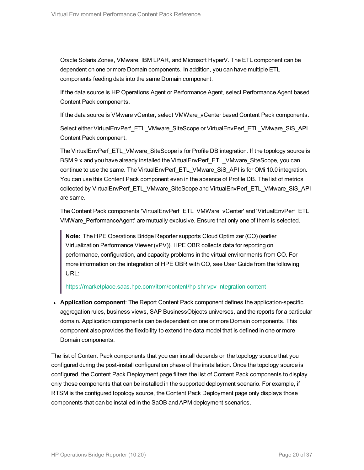Oracle Solaris Zones, VMware, IBM LPAR, and Microsoft HyperV. The ETL component can be dependent on one or more Domain components. In addition, you can have multiple ETL components feeding data into the same Domain component.

If the data source is HP Operations Agent or Performance Agent, select Performance Agent based Content Pack components.

If the data source is VMware vCenter, select VMWare vCenter based Content Pack components.

Select either VirtualEnvPerf\_ETL\_VMware\_SiteScope or VirtualEnvPerf\_ETL\_VMware\_SiS\_API Content Pack component.

The VirtualEnvPerf\_ETL\_VMware\_SiteScope is for Profile DB integration. If the topology source is BSM 9.x and you have already installed the VirtualEnvPerf\_ETL\_VMware\_SiteScope, you can continue to use the same. The VirtualEnvPerf\_ETL\_VMware\_SiS\_API is for OMi 10.0 integration. You can use this Content Pack component even in the absence of Profile DB. The list of metrics collected by VirtualEnvPerf\_ETL\_VMware\_SiteScope and VirtualEnvPerf\_ETL\_VMware\_SiS\_API are same.

The Content Pack components 'VirtualEnvPerf\_ETL\_VMWare\_vCenter' and 'VirtualEnvPerf\_ETL\_ VMWare\_PerformanceAgent' are mutually exclusive. Ensure that only one of them is selected.

**Note:** The HPE Operations Bridge Reporter supports Cloud Optimizer (CO) (earlier Virtualization Performance Viewer (vPV)). HPE OBR collects data for reporting on performance, configuration, and capacity problems in the virtual environments from CO. For more information on the integration of HPE OBR with CO, see User Guide from the following URL:

<https://marketplace.saas.hpe.com/itom/content/hp-shr-vpv-integration-content>

**• Application component:** The Report Content Pack component defines the application-specific aggregation rules, business views, SAP BusinessObjects universes, and the reports for a particular domain. Application components can be dependent on one or more Domain components. This component also provides the flexibility to extend the data model that is defined in one or more Domain components.

The list of Content Pack components that you can install depends on the topology source that you configured during the post-install configuration phase of the installation. Once the topology source is configured, the Content Pack Deployment page filters the list of Content Pack components to display only those components that can be installed in the supported deployment scenario. For example, if RTSM is the configured topology source, the Content Pack Deployment page only displays those components that can be installed in the SaOB and APM deployment scenarios.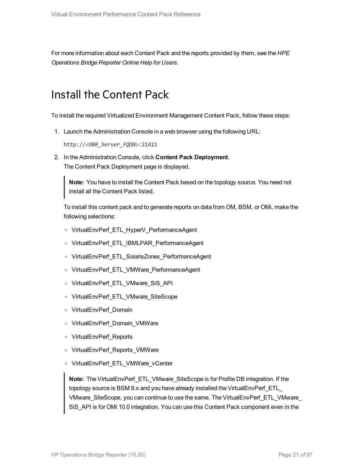<span id="page-20-0"></span>For more information about each Content Pack and the reports provided by them, see the *HPE Operations Bridge Reporter Online Help for Users*.

### Install the Content Pack

To install the required Virtualized Environment Management Content Pack, follow these steps:

1. Launch the Administration Console in a web browser using the following URL:

http://*<OBR\_Server\_FQDN>*:21411

2. In the Administration Console, click **Content Pack Deployment**. The Content Pack Deployment page is displayed.

**Note:** You have to install the Content Pack based on the topology source. You need not install all the Content Pack listed.

To install this content pack and to generate reports on data from OM, BSM, or OMi, make the following selections:

- <sup>o</sup> VirtualEnvPerf\_ETL\_HyperV\_PerformanceAgent
- <sup>o</sup> VirtualEnvPerf\_ETL\_IBMLPAR\_PerformanceAgent
- <sup>o</sup> VirtualEnvPerf\_ETL\_SolarisZones\_PerformanceAgent
- <sup>o</sup> VirtualEnvPerf\_ETL\_VMWare\_PerformanceAgent
- <sup>o</sup> VirtualEnvPerf\_ETL\_VMware\_SiS\_API
- <sup>o</sup> VirtualEnvPerf\_ETL\_VMware\_SiteScope
- <sup>o</sup> VirtualEnvPerf\_Domain
- <sup>o</sup> VirtualEnvPerf\_Domain\_VMWare
- <sup>o</sup> VirtualEnvPerf\_Reports
- <sup>o</sup> VirtualEnvPerf\_Reports\_VMWare
- <sup>o</sup> VirtualEnvPerf\_ETL\_VMWare\_vCenter

**Note:** The VirtualEnvPerf\_ETL\_VMware\_SiteScope is for Profile DB integration. If the topology source is BSM 9.x and you have already installed the VirtualEnvPerf\_ETL\_ VMware\_SiteScope, you can continue to use the same. The VirtualEnvPerf\_ETL\_VMware\_ SiS\_API is for OMi 10.0 integration. You can use this Content Pack component even in the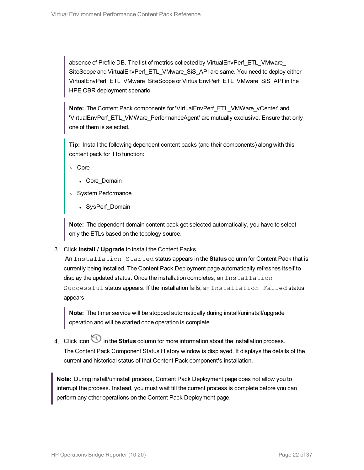absence of Profile DB. The list of metrics collected by VirtualEnvPerf\_ETL\_VMware SiteScope and VirtualEnvPerf\_ETL\_VMware\_SiS\_API are same. You need to deploy either VirtualEnvPerf\_ETL\_VMware\_SiteScope or VirtualEnvPerf\_ETL\_VMware\_SiS\_API in the HPE OBR deployment scenario.

**Note:** The Content Pack components for 'VirtualEnvPerf\_ETL\_VMWare\_vCenter' and 'VirtualEnvPerf\_ETL\_VMWare\_PerformanceAgent' are mutually exclusive. Ensure that only one of them is selected.

**Tip:** Install the following dependent content packs (and their components) along with this content pack for it to function:

<sup>o</sup> Core

- Core Domain
- <sup>o</sup> System Performance
	- SysPerf\_Domain

**Note:** The dependent domain content pack get selected automatically, you have to select only the ETLs based on the topology source.

3. Click **Install / Upgrade** to install the Content Packs.

An Installation Started status appears in the **Status** column for Content Pack that is currently being installed. The Content Pack Deployment page automatically refreshes itself to display the updated status. Once the installation completes, an Installation Successful status appears. If the installation fails, an Installation Failed status appears.

**Note:** The timer service will be stopped automatically during install/uninstall/upgrade operation and will be started once operation is complete.

4. Click icon in the **Status** column for more information about the installation process. The Content Pack Component Status History window is displayed. It displays the details of the current and historical status of that Content Pack component's installation.

**Note:** During install/uninstall process, Content Pack Deployment page does not allow you to interrupt the process. Instead, you must wait till the current process is complete before you can perform any other operations on the Content Pack Deployment page.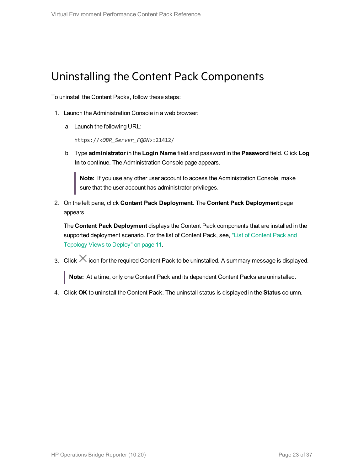### <span id="page-22-0"></span>Uninstalling the Content Pack Components

To uninstall the Content Packs, follow these steps:

- 1. Launch the Administration Console in a web browser:
	- a. Launch the following URL:

https://*<OBR\_Server\_FQDN>*:21412/

b. Type **administrator** in the **Login Name** field and password in the **Password** field. Click **Log In** to continue. The Administration Console page appears.

**Note:** If you use any other user account to access the Administration Console, make sure that the user account has administrator privileges.

2. On the left pane, click **Content Pack Deployment**. The **Content Pack Deployment** page appears.

The **Content Pack Deployment** displays the Content Pack components that are installed in the supported deployment scenario. For the list of [Content](#page-10-1) Pack, see, "List of Content Pack and [Topology](#page-10-1) Views to Deploy" on page 11.

3. Click  $\times$  icon for the required Content Pack to be uninstalled. A summary message is displayed.

**Note:** At a time, only one Content Pack and its dependent Content Packs are uninstalled.

4. Click **OK** to uninstall the Content Pack. The uninstall status is displayed in the **Status** column.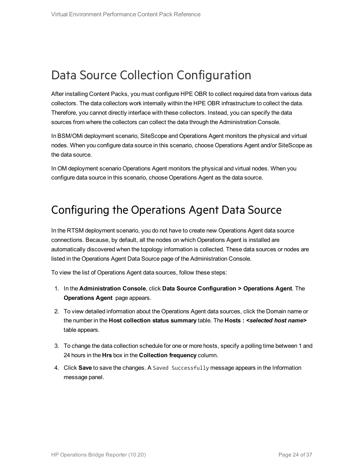### <span id="page-23-0"></span>Data Source Collection Configuration

After installing Content Packs, you must configure HPE OBR to collect required data from various data collectors. The data collectors work internally within the HPE OBR infrastructure to collect the data. Therefore, you cannot directly interface with these collectors. Instead, you can specify the data sources from where the collectors can collect the data through the Administration Console.

In BSM/OMi deployment scenario, SiteScope and Operations Agent monitors the physical and virtual nodes. When you configure data source in this scenario, choose Operations Agent and/or SiteScope as the data source.

<span id="page-23-1"></span>In OM deployment scenario Operations Agent monitors the physical and virtual nodes. When you configure data source in this scenario, choose Operations Agent as the data source.

### Configuring the Operations Agent Data Source

In the RTSM deployment scenario, you do not have to create new Operations Agent data source connections. Because, by default, all the nodes on which Operations Agent is installed are automatically discovered when the topology information is collected. These data sources or nodes are listed in the Operations Agent Data Source page of the Administration Console.

To view the list of Operations Agent data sources, follow these steps:

- 1. In the **Administration Console**, click **Data Source Configuration > Operations Agent**. The **Operations Agent** page appears.
- 2. To view detailed information about the Operations Agent data sources, click the Domain name or the number in the **Host collection status summary** table. The **Hosts :** *<selected host name>* table appears.
- 3. To change the data collection schedule for one or more hosts, specify a polling time between 1 and 24 hours in the **Hrs** box in the **Collection frequency** column.
- 4. Click **Save** to save the changes. A Saved Successfully message appears in the Information message panel.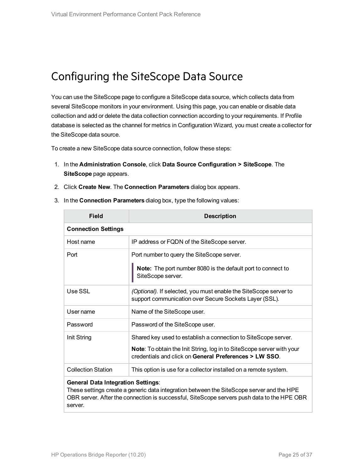### <span id="page-24-0"></span>Configuring the SiteScope Data Source

You can use the SiteScope page to configure a SiteScope data source, which collects data from several SiteScope monitors in your environment. Using this page, you can enable or disable data collection and add or delete the data collection connection according to your requirements. If Profile database is selected as the channel for metrics in Configuration Wizard, you must create a collector for the SiteScope data source.

To create a new SiteScope data source connection, follow these steps:

- 1. In the **Administration Console**, click **Data Source Configuration > SiteScope**. The **SiteScope** page appears.
- 2. Click **Create New**. The **Connection Parameters** dialog box appears.

| <b>Field</b>               | <b>Description</b>                                                                                                                     |
|----------------------------|----------------------------------------------------------------------------------------------------------------------------------------|
| <b>Connection Settings</b> |                                                                                                                                        |
| Host name                  | IP address or FQDN of the SiteScope server.                                                                                            |
| Port                       | Port number to query the SiteScope server.                                                                                             |
|                            | <b>Note:</b> The port number 8080 is the default port to connect to<br>SiteScope server.                                               |
| Use SSL                    | (Optional). If selected, you must enable the SiteScope server to<br>support communication over Secure Sockets Layer (SSL).             |
| User name                  | Name of the SiteScope user.                                                                                                            |
| Password                   | Password of the SiteScope user.                                                                                                        |
| Init String                | Shared key used to establish a connection to SiteScope server.                                                                         |
|                            | <b>Note:</b> To obtain the Init String, log in to SiteScope server with your<br>credentials and click on General Preferences > LW SSO. |
| <b>Collection Station</b>  | This option is use for a collector installed on a remote system.                                                                       |

3. In the **Connection Parameters** dialog box, type the following values:

#### **General Data Integration Settings**:

These settings create a generic data integration between the SiteScope server and the HPE OBR server. After the connection is successful, SiteScope servers push data to the HPE OBR server.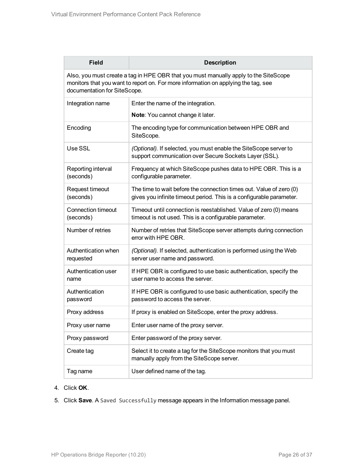| <b>Field</b>                                                                                                                                                                                               | <b>Description</b>                                                                                                                          |  |  |  |  |  |
|------------------------------------------------------------------------------------------------------------------------------------------------------------------------------------------------------------|---------------------------------------------------------------------------------------------------------------------------------------------|--|--|--|--|--|
| Also, you must create a tag in HPE OBR that you must manually apply to the SiteScope<br>monitors that you want to report on. For more information on applying the tag, see<br>documentation for SiteScope. |                                                                                                                                             |  |  |  |  |  |
| Integration name                                                                                                                                                                                           | Enter the name of the integration.                                                                                                          |  |  |  |  |  |
|                                                                                                                                                                                                            | Note: You cannot change it later.                                                                                                           |  |  |  |  |  |
| Encoding                                                                                                                                                                                                   | The encoding type for communication between HPE OBR and<br>SiteScope.                                                                       |  |  |  |  |  |
| Use SSL                                                                                                                                                                                                    | (Optional). If selected, you must enable the SiteScope server to<br>support communication over Secure Sockets Layer (SSL).                  |  |  |  |  |  |
| Reporting interval<br>(seconds)                                                                                                                                                                            | Frequency at which SiteScope pushes data to HPE OBR. This is a<br>configurable parameter.                                                   |  |  |  |  |  |
| Request timeout<br>(seconds)                                                                                                                                                                               | The time to wait before the connection times out. Value of zero (0)<br>gives you infinite timeout period. This is a configurable parameter. |  |  |  |  |  |
| Connection timeout<br>(seconds)                                                                                                                                                                            | Timeout until connection is reestablished. Value of zero (0) means<br>timeout is not used. This is a configurable parameter.                |  |  |  |  |  |
| Number of retries                                                                                                                                                                                          | Number of retries that SiteScope server attempts during connection<br>error with HPE OBR.                                                   |  |  |  |  |  |
| Authentication when<br>requested                                                                                                                                                                           | (Optional). If selected, authentication is performed using the Web<br>server user name and password.                                        |  |  |  |  |  |
| Authentication user<br>name                                                                                                                                                                                | If HPE OBR is configured to use basic authentication, specify the<br>user name to access the server.                                        |  |  |  |  |  |
| Authentication<br>password                                                                                                                                                                                 | If HPE OBR is configured to use basic authentication, specify the<br>password to access the server.                                         |  |  |  |  |  |
| Proxy address                                                                                                                                                                                              | If proxy is enabled on SiteScope, enter the proxy address.                                                                                  |  |  |  |  |  |
| Proxy user name                                                                                                                                                                                            | Enter user name of the proxy server.                                                                                                        |  |  |  |  |  |
| Proxy password                                                                                                                                                                                             | Enter password of the proxy server.                                                                                                         |  |  |  |  |  |
| Create tag                                                                                                                                                                                                 | Select it to create a tag for the SiteScope monitors that you must<br>manually apply from the SiteScope server.                             |  |  |  |  |  |
| Tag name                                                                                                                                                                                                   | User defined name of the tag.                                                                                                               |  |  |  |  |  |

- 4. Click **OK**.
- 5. Click **Save**. A Saved Successfully message appears in the Information message panel.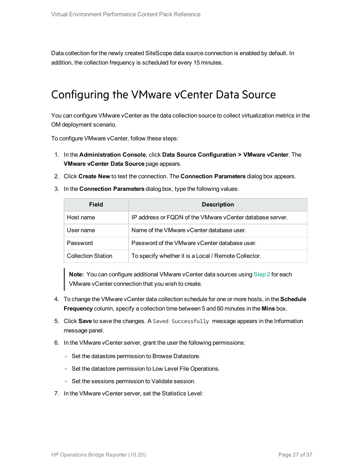<span id="page-26-0"></span>Data collection for the newly created SiteScope data source connection is enabled by default. In addition, the collection frequency is scheduled for every 15 minutes.

### Configuring the VMware vCenter Data Source

You can configure VMware vCenter as the data collection source to collect virtualization metrics in the OM deployment scenario.

To configure VMware vCenter, follow these steps:

- 1. In the **Administration Console**, click **Data Source Configuration > VMware vCenter**. The **VMware vCenter Data Source** page appears.
- <span id="page-26-1"></span>2. Click **Create New** to test the connection. The **Connection Parameters** dialog box appears.
- 3. In the **Connection Parameters** dialog box, type the following values:

| Field                     | <b>Description</b>                                        |
|---------------------------|-----------------------------------------------------------|
| Host name                 | IP address or FQDN of the VMware vCenter database server. |
| User name                 | Name of the VMware vCenter database user.                 |
| Password                  | Password of the VMware vCenter database user.             |
| <b>Collection Station</b> | To specify whether it is a Local / Remote Collector.      |

**Note:** You can configure additional VMware vCenter data sources using [Step](#page-26-1) 2 for each VMware vCenter connection that you wish to create.

- 4. To change the VMware vCenter data collection schedule for one or more hosts, in the **Schedule Frequency** column, specify a collection time between 5 and 60 minutes in the **Mins** box.
- 5. Click **Save** to save the changes. A Saved Successfully message appears in the Information message panel.
- 6. In the VMware vCenter server, grant the user the following permissions:
	- <sup>o</sup> Set the datastore permission to Browse Datastore.
	- Set the datastore permission to Low Level File Operations.
	- <sup>o</sup> Set the sessions permission to Validate session.
- 7. In the VMware vCenter server, set the Statistics Level: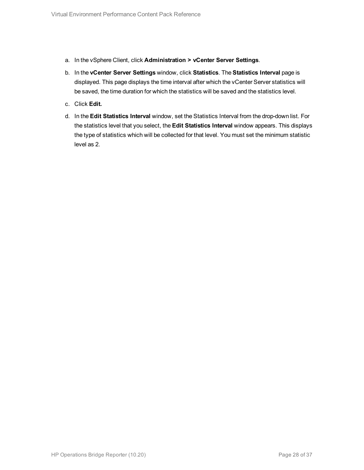- a. In the vSphere Client, click **Administration > vCenter Server Settings**.
- b. In the **vCenter Server Settings** window, click **Statistics**. The **Statistics Interval** page is displayed. This page displays the time interval after which the vCenter Server statistics will be saved, the time duration for which the statistics will be saved and the statistics level.
- c. Click **Edit.**
- d. In the **Edit Statistics Interval** window, set the Statistics Interval from the drop-down list. For the statistics level that you select, the **Edit Statistics Interval** window appears. This displays the type of statistics which will be collected for that level. You must set the minimum statistic level as 2.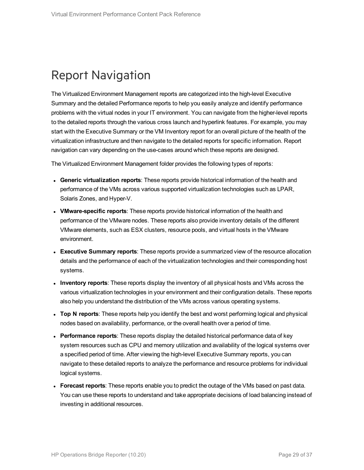### <span id="page-28-0"></span>Report Navigation

The Virtualized Environment Management reports are categorized into the high-level Executive Summary and the detailed Performance reports to help you easily analyze and identify performance problems with the virtual nodes in your IT environment. You can navigate from the higher-level reports to the detailed reports through the various cross launch and hyperlink features. For example, you may start with the Executive Summary or the VM Inventory report for an overall picture of the health of the virtualization infrastructure and then navigate to the detailed reports for specific information. Report navigation can vary depending on the use-cases around which these reports are designed.

The Virtualized Environment Management folder provides the following types of reports:

- **Generic virtualization reports**: These reports provide historical information of the health and performance of the VMs across various supported virtualization technologies such as LPAR, Solaris Zones, and Hyper-V.
- **VMware-specific reports**: These reports provide historical information of the health and performance of the VMware nodes. These reports also provide inventory details of the different VMware elements, such as ESX clusters, resource pools, and virtual hosts in the VMware environment.
- **Executive Summary reports**: These reports provide a summarized view of the resource allocation details and the performance of each of the virtualization technologies and their corresponding host systems.
- **Inventory reports**: These reports display the inventory of all physical hosts and VMs across the various virtualization technologies in your environment and their configuration details. These reports also help you understand the distribution of the VMs across various operating systems.
- <sup>l</sup> **Top N reports**: These reports help you identify the best and worst performing logical and physical nodes based on availability, performance, or the overall health over a period of time.
- <sup>l</sup> **Performance reports**: These reports display the detailed historical performance data of key system resources such as CPU and memory utilization and availability of the logical systems over a specified period of time. After viewing the high-level Executive Summary reports, you can navigate to these detailed reports to analyze the performance and resource problems for individual logical systems.
- <sup>l</sup> **Forecast reports**: These reports enable you to predict the outage of the VMs based on past data. You can use these reports to understand and take appropriate decisions of load balancing instead of investing in additional resources.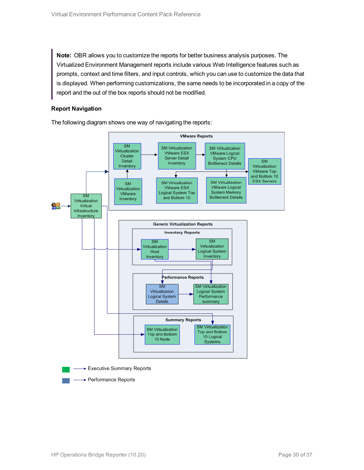**Note:** OBR allows you to customize the reports for better business analysis purposes. The Virtualized Environment Management reports include various Web Intelligence features such as prompts, context and time filters, and input controls, which you can use to customize the data that is displayed. When performing customizations, the same needs to be incorporated in a copy of the report and the out of the box reports should not be modified.

#### **Report Navigation**

The following diagram shows one way of navigating the reports:

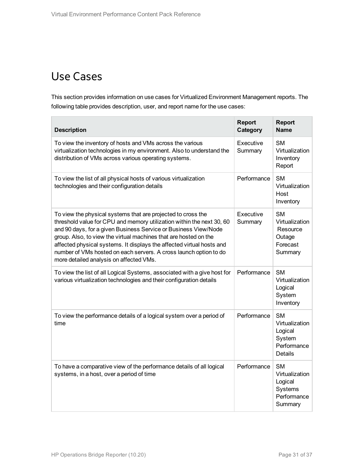### <span id="page-30-0"></span>Use Cases

This section provides information on use cases for Virtualized Environment Management reports. The following table provides description, user, and report name for the use cases:

| <b>Description</b>                                                                                                                                                                                                                                                                                                                                                                                                                                                    | <b>Report</b><br>Category | <b>Report</b><br><b>Name</b>                                                      |
|-----------------------------------------------------------------------------------------------------------------------------------------------------------------------------------------------------------------------------------------------------------------------------------------------------------------------------------------------------------------------------------------------------------------------------------------------------------------------|---------------------------|-----------------------------------------------------------------------------------|
| To view the inventory of hosts and VMs across the various<br>virtualization technologies in my environment. Also to understand the<br>distribution of VMs across various operating systems.                                                                                                                                                                                                                                                                           | Executive<br>Summary      | <b>SM</b><br>Virtualization<br>Inventory<br>Report                                |
| To view the list of all physical hosts of various virtualization<br>technologies and their configuration details                                                                                                                                                                                                                                                                                                                                                      | Performance               | <b>SM</b><br>Virtualization<br>Host<br>Inventory                                  |
| To view the physical systems that are projected to cross the<br>threshold value for CPU and memory utilization within the next 30, 60<br>and 90 days, for a given Business Service or Business View/Node<br>group. Also, to view the virtual machines that are hosted on the<br>affected physical systems. It displays the affected virtual hosts and<br>number of VMs hosted on each servers. A cross launch option to do<br>more detailed analysis on affected VMs. | Executive<br>Summary      | <b>SM</b><br>Virtualization<br>Resource<br>Outage<br>Forecast<br>Summary          |
| To view the list of all Logical Systems, associated with a give host for<br>various virtualization technologies and their configuration details                                                                                                                                                                                                                                                                                                                       | Performance               | <b>SM</b><br>Virtualization<br>Logical<br>System<br>Inventory                     |
| To view the performance details of a logical system over a period of<br>time                                                                                                                                                                                                                                                                                                                                                                                          | Performance               | <b>SM</b><br>Virtualization<br>Logical<br>System<br>Performance<br><b>Details</b> |
| To have a comparative view of the performance details of all logical<br>systems, in a host, over a period of time                                                                                                                                                                                                                                                                                                                                                     | Performance               | <b>SM</b><br>Virtualization<br>Logical<br>Systems<br>Performance<br>Summary       |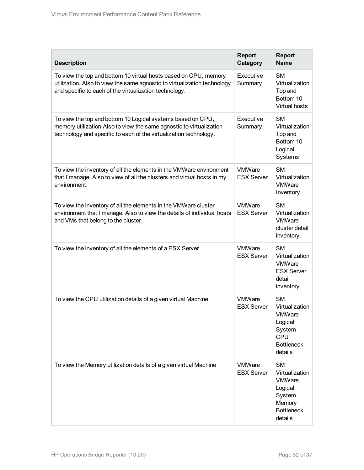| <b>Description</b>                                                                                                                                                                                       | <b>Report</b><br>Category          | <b>Report</b><br><b>Name</b>                                                                         |
|----------------------------------------------------------------------------------------------------------------------------------------------------------------------------------------------------------|------------------------------------|------------------------------------------------------------------------------------------------------|
| To view the top and bottom 10 virtual hosts based on CPU, memory<br>utilization. Also to view the same agnostic to virtualization technology<br>and specific to each of the virtualization technology.   | Executive<br>Summary               | <b>SM</b><br>Virtualization<br>Top and<br>Bottom 10<br>Virtual hosts                                 |
| To view the top and bottom 10 Logical systems based on CPU,<br>memory utilization. Also to view the same agnostic to virtualization<br>technology and specific to each of the virtualization technology. | Executive<br>Summary               | <b>SM</b><br>Virtualization<br>Top and<br>Bottom 10<br>Logical<br>Systems                            |
| To view the inventory of all the elements in the VMWare environment<br>that I manage. Also to view of all the clusters and virtual hosts in my<br>environment.                                           | VMWare<br><b>ESX Server</b>        | <b>SM</b><br>Virtualization<br><b>VMWare</b><br>Inventory                                            |
| To view the inventory of all the elements in the VMWare cluster<br>environment that I manage. Also to view the details of individual hosts<br>and VMs that belong to the cluster.                        | VMWare<br><b>ESX Server</b>        | <b>SM</b><br>Virtualization<br>VMWare<br>cluster detail<br>inventory                                 |
| To view the inventory of all the elements of a ESX Server                                                                                                                                                | VMWare<br><b>ESX Server</b>        | <b>SM</b><br>Virtualization<br>VMWare<br><b>ESX Server</b><br>detail<br>inventory                    |
| To view the CPU utilization details of a given virtual Machine                                                                                                                                           | VMWare<br><b>ESX Server</b>        | <b>SM</b><br>Virtualization<br>VMWare<br>Logical<br>System<br>CPU<br><b>Bottleneck</b><br>details    |
| To view the Memory utilization details of a given virtual Machine                                                                                                                                        | <b>VMWare</b><br><b>ESX Server</b> | <b>SM</b><br>Virtualization<br>VMWare<br>Logical<br>System<br>Memory<br><b>Bottleneck</b><br>details |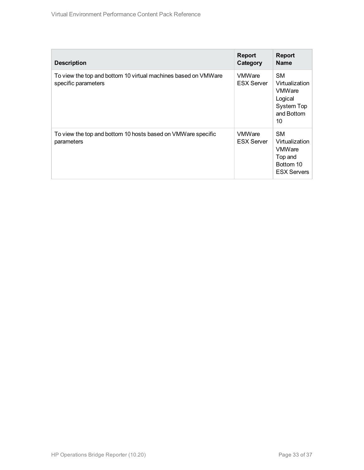| <b>Description</b>                                                                    | <b>Report</b><br>Category          | <b>Report</b><br><b>Name</b>                                                               |
|---------------------------------------------------------------------------------------|------------------------------------|--------------------------------------------------------------------------------------------|
| To view the top and bottom 10 virtual machines based on VMWare<br>specific parameters | <b>VMWare</b><br><b>ESX Server</b> | <b>SM</b><br>Virtualization<br><b>VMWare</b><br>Logical<br>System Top<br>and Bottom<br>10  |
| To view the top and bottom 10 hosts based on VMWare specific<br>parameters            | <b>VMWare</b><br><b>ESX Server</b> | <b>SM</b><br>Virtualization<br><b>VMWare</b><br>Top and<br>Bottom 10<br><b>ESX Servers</b> |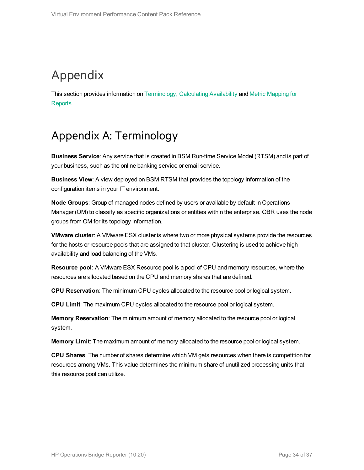## <span id="page-33-0"></span>Appendix

<span id="page-33-1"></span>This section provides information on [Terminology,](#page-33-1) [Calculating](#page-34-0) Availability and Metric [Mapping](#page-35-0) for [Reports.](#page-35-0)

### Appendix A: Terminology

**Business Service**: Any service that is created in BSM Run-time Service Model (RTSM) and is part of your business, such as the online banking service or email service.

**Business View**: A view deployed on BSM RTSM that provides the topology information of the configuration items in your IT environment.

**Node Groups**: Group of managed nodes defined by users or available by default in Operations Manager (OM) to classify as specific organizations or entities within the enterprise. OBR uses the node groups from OM for its topology information.

**VMware cluster**: A VMware ESX cluster is where two or more physical systems provide the resources for the hosts or resource pools that are assigned to that cluster. Clustering is used to achieve high availability and load balancing of the VMs.

**Resource pool**: A VMware ESX Resource pool is a pool of CPU and memory resources, where the resources are allocated based on the CPU and memory shares that are defined.

**CPU Reservation**: The minimum CPU cycles allocated to the resource pool or logical system.

**CPU Limit**: The maximum CPU cycles allocated to the resource pool or logical system.

**Memory Reservation**: The minimum amount of memory allocated to the resource pool or logical system.

**Memory Limit**: The maximum amount of memory allocated to the resource pool or logical system.

**CPU Shares**: The number of shares determine which VM gets resources when there is competition for resources among VMs. This value determines the minimum share of unutilized processing units that this resource pool can utilize.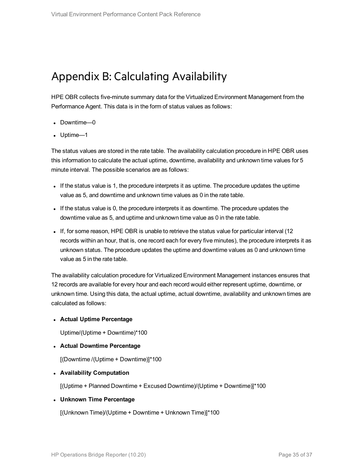### <span id="page-34-0"></span>Appendix B: Calculating Availability

HPE OBR collects five-minute summary data for the Virtualized Environment Management from the Performance Agent. This data is in the form of status values as follows:

- Downtime—0
- Uptime—1

The status values are stored in the rate table. The availability calculation procedure in HPE OBR uses this information to calculate the actual uptime, downtime, availability and unknown time values for 5 minute interval. The possible scenarios are as follows:

- If the status value is 1, the procedure interprets it as uptime. The procedure updates the uptime value as 5, and downtime and unknown time values as 0 in the rate table.
- If the status value is 0, the procedure interprets it as downtime. The procedure updates the downtime value as 5, and uptime and unknown time value as 0 in the rate table.
- If, for some reason, HPE OBR is unable to retrieve the status value for particular interval (12 records within an hour, that is, one record each for every five minutes), the procedure interprets it as unknown status. The procedure updates the uptime and downtime values as 0 and unknown time value as 5 in the rate table.

The availability calculation procedure for Virtualized Environment Management instances ensures that 12 records are available for every hour and each record would either represent uptime, downtime, or unknown time. Using this data, the actual uptime, actual downtime, availability and unknown times are calculated as follows:

<sup>l</sup> **Actual Uptime Percentage**

Uptime/(Uptime + Downtime)\*100

<sup>l</sup> **Actual Downtime Percentage**

[(Downtime /(Uptime + Downtime)]\*100

<sup>l</sup> **Availability Computation**

[(Uptime + Planned Downtime + Excused Downtime)/(Uptime + Downtime)]\*100

#### <sup>l</sup> **Unknown Time Percentage**

[(Unknown Time)/(Uptime + Downtime + Unknown Time)]\*100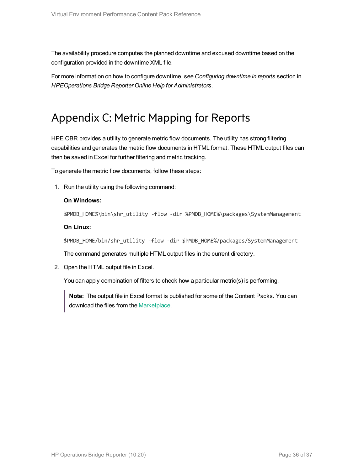The availability procedure computes the planned downtime and excused downtime based on the configuration provided in the downtime XML file.

<span id="page-35-0"></span>For more information on how to configure downtime, see *Configuring downtime in reports* section in *HPEOperations Bridge Reporter Online Help for Administrators*.

### Appendix C: Metric Mapping for Reports

HPE OBR provides a utility to generate metric flow documents. The utility has strong filtering capabilities and generates the metric flow documents in HTML format. These HTML output files can then be saved in Excel for further filtering and metric tracking.

To generate the metric flow documents, follow these steps:

1. Run the utility using the following command:

#### **On Windows:**

%PMDB\_HOME%\bin\shr\_utility -flow -dir %PMDB\_HOME%\packages\SystemManagement

#### **On Linux:**

\$PMDB\_HOME/bin/shr\_utility -flow -dir \$PMDB\_HOME%/packages/SystemManagement

The command generates multiple HTML output files in the current directory.

2. Open the HTML output file in Excel.

You can apply combination of filters to check how a particular metric(s) is performing.

**Note:** The output file in Excel format is published for some of the Content Packs. You can download the files from the [Marketplace](https://hpln.hp.com/node/24267/attachment).